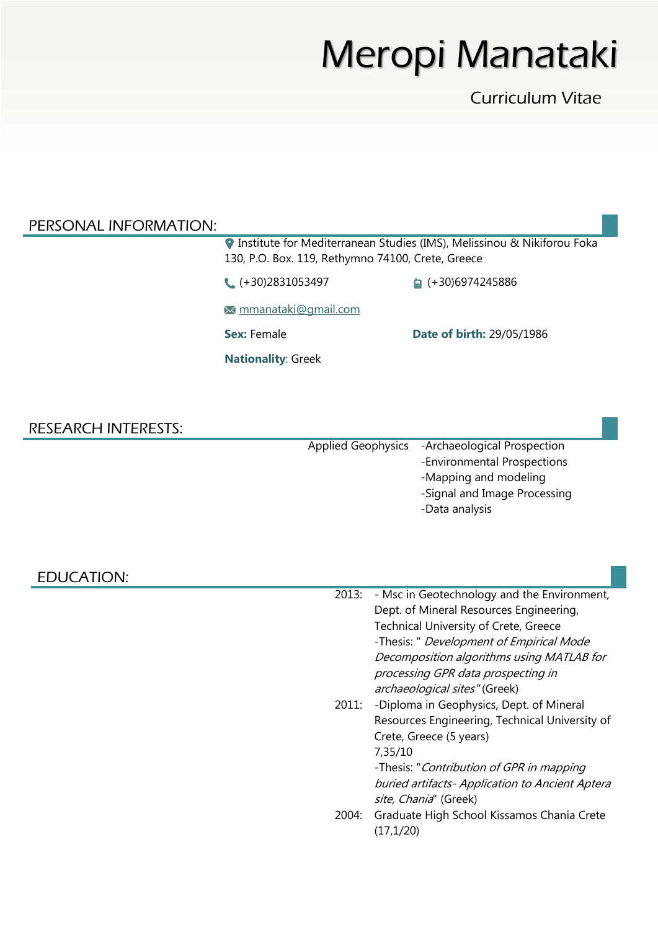# Meropi Manataki

Curriculum Vitae

#### PERSONAL INFORMATION:

**Institute for Mediterranean Studies (IMS), Melissinou & Nikiforou Foka** 130, P.O. Box. 119, Rethymno 74100, Crete, Greece

● (+30)2831053497 (+30)6974245886

[mmanataki@gmail.com](mailto:mmanataki@gmail.com)

**Sex:** Female **Date of birth:** 29/05/1986

**Nationality**: Greek

#### RESEARCH INTERESTS:

Applied Geophysics -Archaeological Prospection -Environmental Prospections -Mapping and modeling -Signal and Image Processing -Data analysis

EDUCATION:

| 2013: | - Msc in Geotechnology and the Environment,     |
|-------|-------------------------------------------------|
|       | Dept. of Mineral Resources Engineering,         |
|       | <b>Technical University of Crete, Greece</b>    |
|       | -Thesis: " Development of Empirical Mode        |
|       | Decomposition algorithms using MATLAB for       |
|       | processing GPR data prospecting in              |
|       | archaeological sites" (Greek)                   |
| 2011: | -Diploma in Geophysics, Dept. of Mineral        |
|       | Resources Engineering, Technical University of  |
|       | Crete, Greece (5 years)                         |
|       | 7,35/10                                         |
|       | -Thesis: "Contribution of GPR in mapping        |
|       | buried artifacts- Application to Ancient Aptera |
|       | site, Chania" (Greek)                           |
| 2004: | Graduate High School Kissamos Chania Crete      |
|       | (17.1/20)                                       |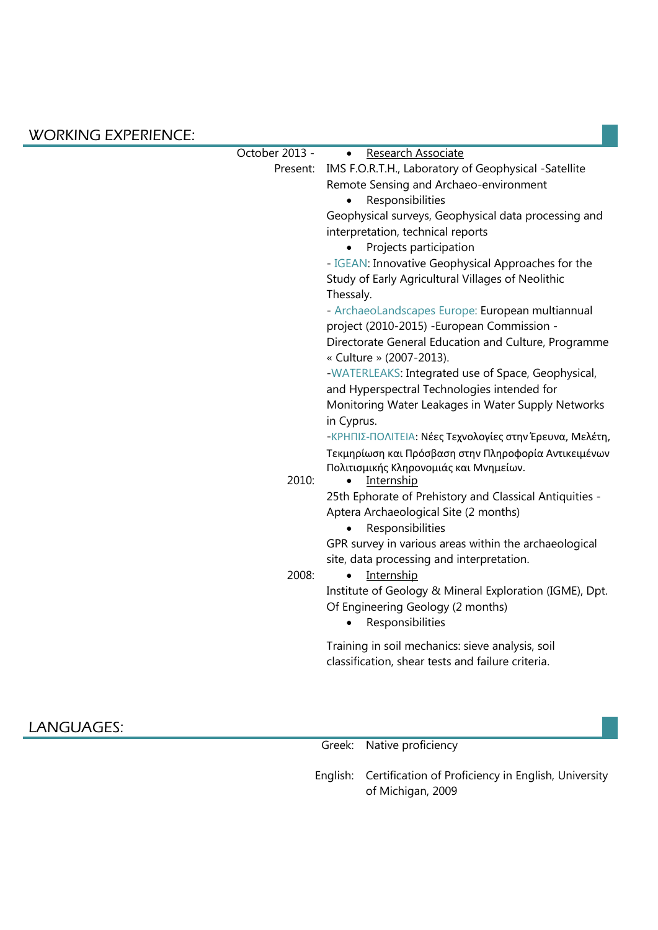#### WORKING EXPERIENCE:

| October 2013 - | Research Associate<br>$\bullet$                               |
|----------------|---------------------------------------------------------------|
|                | Present: IMS F.O.R.T.H., Laboratory of Geophysical -Satellite |
|                | Remote Sensing and Archaeo-environment                        |
|                | Responsibilities                                              |
|                | Geophysical surveys, Geophysical data processing and          |
|                | interpretation, technical reports                             |
|                | Projects participation                                        |
|                | - IGEAN: Innovative Geophysical Approaches for the            |
|                | Study of Early Agricultural Villages of Neolithic             |
|                | Thessaly.                                                     |
|                | - ArchaeoLandscapes Europe: European multiannual              |
|                | project (2010-2015) - European Commission -                   |
|                | Directorate General Education and Culture, Programme          |
|                | « Culture » (2007-2013).                                      |
|                | -WATERLEAKS: Integrated use of Space, Geophysical,            |
|                | and Hyperspectral Technologies intended for                   |
|                | Monitoring Water Leakages in Water Supply Networks            |
|                | in Cyprus.                                                    |
|                | -ΚΡΗΠΙΣ-ΠΟΛΙΤΕΙΑ: Νέες Τεχνολογίες στην Έρευνα, Μελέτη,       |
|                | Τεκμηρίωση και Πρόσβαση στην Πληροφορία Αντικειμένων          |
|                | Πολιτισμικής Κληρονομιάς και Μνημείων.                        |
| 2010:          | Internship<br>$\bullet$                                       |
|                | 25th Ephorate of Prehistory and Classical Antiquities -       |
|                | Aptera Archaeological Site (2 months)                         |
|                | Responsibilities                                              |
|                | GPR survey in various areas within the archaeological         |
|                | site, data processing and interpretation.                     |
| 2008:          | Internship<br>$\bullet$                                       |
|                | Institute of Geology & Mineral Exploration (IGME), Dpt.       |
|                | Of Engineering Geology (2 months)                             |
|                | Responsibilities<br>$\bullet$                                 |
|                | Training in soil mechanics: sieve analysis, soil              |
|                | classification, shear tests and failure criteria.             |
|                |                                                               |
|                |                                                               |
|                |                                                               |

### LANGUAGES:

Greek: Native proficiency

English: Certification of Proficiency in English, University of Michigan, 2009